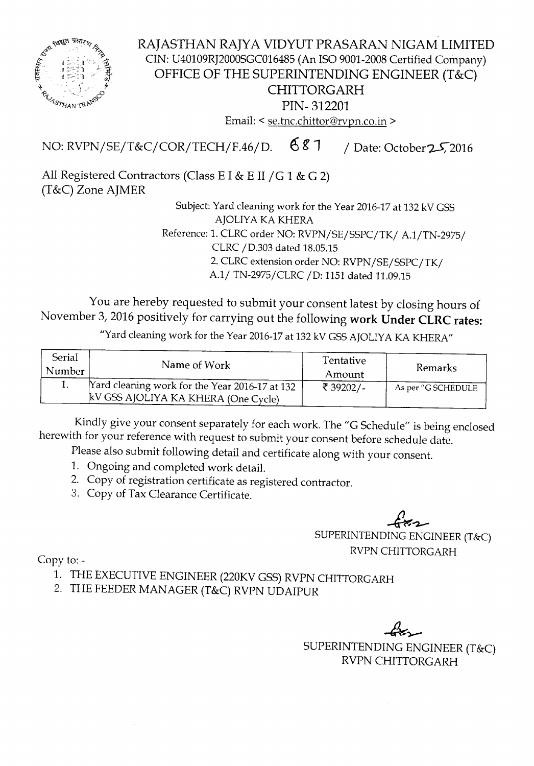

RAJASTHAN RAJYA VIDYUT PRASARAN NIGAM LIMITED CIN: U40109RJ2000SGC016485 (An ISO 9001-2008 Certified Company) OFFICE OF THE SUPERINTENDING ENGINEER (T&C) CHITTORGARH PIN- 312201 Email: < se.tnc.chittor@rvpn.co.in >

NO: RVPN/SE/T&C/COR/TECH/F.46/D.  $687$  / Date: October 25, 2016

All Registered Contractors (Class E I & E II /G 1 & G 2) (T&C) Zone AJMER

> Subject: Yard cleaning work for the Year 2016-17 at 132 kV GSS AJOLIYA KA KHERA Reference: 1. CLRC order NO: RVPN/SE/SSPC/TK/ A.1/TN-2975/ CLRC/0.303 dated 18.05.15

2. CLRC extension order NO: RVPN/SE/SSPC/TK/

A.1/ TN-2975/CLRC / D: 1151 dated 11.09.15

You are hereby requested to submit your consent latest by closing hours of November 3,2016 positively for carrying out the following work Under CLRC rates:

"Yard cleaning work for the Year 2016-17 at 132 kV GSS AJOLIYA KA KHERA"

| <b>Serial</b><br>Number | Name of Work                                                                          | Tentative<br>Amount | Remarks            |  |
|-------------------------|---------------------------------------------------------------------------------------|---------------------|--------------------|--|
|                         | Yard cleaning work for the Year 2016-17 at 132<br>kV GSS AJOLIYA KA KHERA (One Cycle) | ₹ 39202/-           | As per "G SCHEDULE |  |

Kindly give your consent separately for each work. The "G Schedule" is being enclosed herewith for your reference with request to submit your consent before schedule date.

Please also submit following detail and certificate along with your consent.

- 1. Ongoing and completed work detail.
- 2. Copy of registration certificate as registered contractor.
- 3. Copy of Tax Clearance Certificate.

 $\rightarrow$ SUPERINTENDING ENGINEER (T&C) RVPN CHITTORGARH

Copy to:-

- 1. THE EXECUTIVE ENGINEER (220KV GSS) RVPN CHITTORGARH
- 2. THE FEEDER MANAGER (T&C) RVPN UDAIPUR

 $\mathsf{tr}\mathcal{F}$ SUPERINTENDING ENGINEER (T&C) RVPN CHITTORGARH